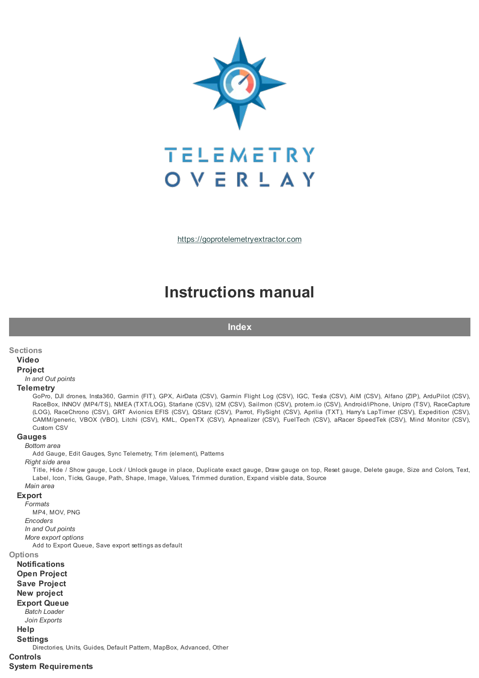

[https://goprotelemetryextractor.com](https://goprotelemetryextractor.com/)

# **Instructions manual**

**Index**

#### **Sections**

#### **Video**

# **Project**

*In and Out points*

#### **Telemetry**

GoPro, DJI drones, Insta360, Garmin (FIT), GPX, AirData (CSV), Garmin Flight Log (CSV), IGC, Tesla (CSV), AiM (CSV), Alfano (ZIP), ArduPilot (CSV), RaceBox, INNOV (MP4/TS), NMEA (TXT/LOG), Starlane (CSV), I2M (CSV), Sailmon (CSV), protern.io (CSV), Android/iPhone, Unipro (TSV), RaceCapture (LOG), RaceChrono (CSV), GRT Avionics EFIS (CSV), QStarz (CSV), Parrot, FlySight (CSV), Aprilia (TXT), Harry's LapTimer (CSV), Expedition (CSV), CAMM/generic, VBOX (VBO), Litchi (CSV), KML, OpenTX (CSV), Apnealizer (CSV), FuelTech (CSV), aRacer SpeedTek (CSV), Mind Monitor (CSV), Custom CSV

# **Gauges**

*Bottom area*

Add Gauge, Edit Gauges, Sync Telemetry, Trim (element), Patterns

*Right side area*

Title, Hide / Show gauge, Lock / Unlock gauge in place, Duplicate exact gauge, Draw gauge on top, Reset gauge, Delete gauge, Size and Colors, Text, Label, Icon, Ticks, Gauge, Path, Shape, Image, Values, Trimmed duration, Expand visible data, Source

# *Main area*

# **Export**

*Formats* MP4, MOV, PNG *Encoders In and Out points More export options*

Add to Export Queue, Save export settings as default

# **Options**

**Notifications Open Project Save Project New project Export Queue** *Batch Loader Join Exports* **Help Settings** Directories, Units, Guides, Default Pattern, MapBox, Advanced, Other **Controls System Requirements**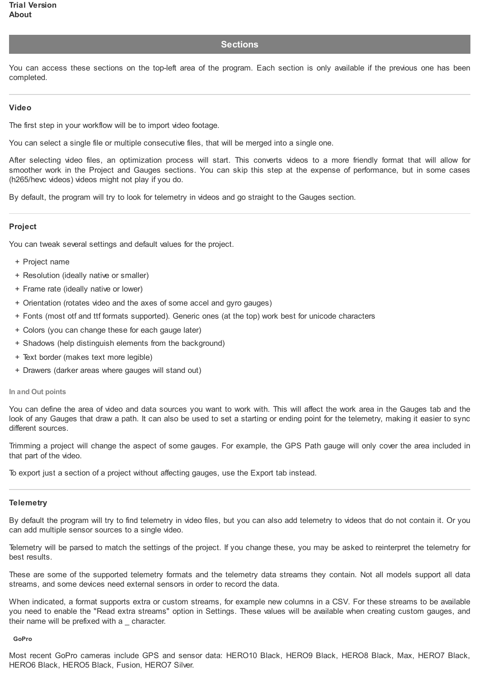# **Sections**

You can access these sections on the top-left area of the program. Each section is only available if the previous one has been completed.

# **Video**

The first step in your workflow will be to import video footage.

You can select a single file or multiple consecutive files, that will be merged into a single one.

After selecting video files, an optimization process will start. This converts videos to a more friendly format that will allow for smoother work in the Project and Gauges sections. You can skip this step at the expense of performance, but in some cases (h265/hevc videos) videos might not play if you do.

By default, the program will try to look for telemetry in videos and go straight to the Gauges section.

# **Project**

You can tweak several settings and default values for the project.

- + Project name
- + Resolution (ideally native or smaller)
- + Frame rate (ideally native or lower)
- + Orientation (rotates video and the axes of some accel and gyro gauges)
- + Fonts (most otf and ttf formats supported). Generic ones (at the top) work best for unicode characters
- + Colors (you can change these for each gauge later)
- + Shadows (help distinguish elements from the background)
- + Text border (makes text more legible)
- + Drawers (darker areas where gauges will stand out)

### **In and Out points**

You can define the area of video and data sources you want to work with. This will affect the work area in the Gauges tab and the look of any Gauges that draw a path. It can also be used to set a starting or ending point for the telemetry, making it easier to sync different sources.

Trimming a project will change the aspect of some gauges. For example, the GPS Path gauge will only cover the area included in that part of the video.

To export just a section of a project without affecting gauges, use the Export tab instead.

# **Telemetry**

By default the program will try to find telemetry in video files, but you can also add telemetry to videos that do not contain it. Or you can add multiple sensor sources to a single video.

Telemetry will be parsed to match the settings of the project. If you change these, you may be asked to reinterpret the telemetry for best results.

These are some of the supported telemetry formats and the telemetry data streams they contain. Not all models support all data streams, and some devices need external sensors in order to record the data.

When indicated, a format supports extra or custom streams, for example new columns in a CSV. For these streams to be available you need to enable the "Read extra streams" option in Settings. These values will be available when creating custom gauges, and their name will be prefixed with a \_ character.

#### **GoPro**

Most recent GoPro cameras include GPS and sensor data: HERO10 Black, HERO9 Black, HERO8 Black, Max, HERO7 Black, HERO6 Black, HERO5 Black, Fusion, HERO7 Silver.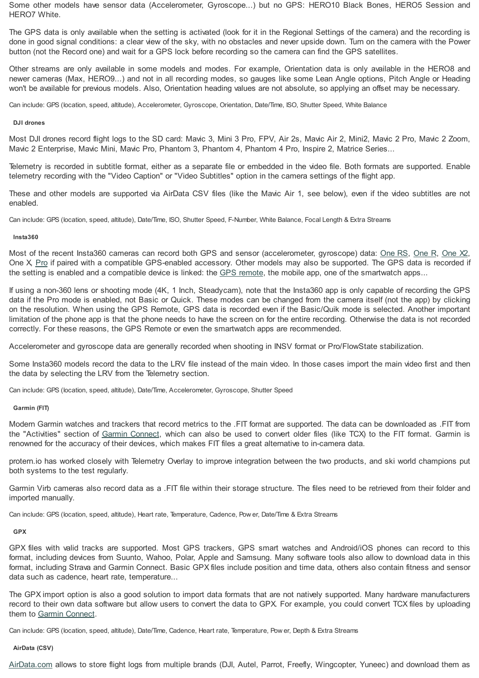Some other models have sensor data (Accelerometer, Gyroscope...) but no GPS: HERO10 Black Bones, HERO5 Session and HERO7 White.

The GPS data is only available when the setting is activated (look for it in the Regional Settings of the camera) and the recording is done in good signal conditions: a clear view of the sky, with no obstacles and never upside down. Turn on the camera with the Power button (not the Record one) and wait for a GPS lock before recording so the camera can find the GPS satellites.

Other streams are only available in some models and modes. For example, Orientation data is only available in the HERO8 and newer cameras (Max, HERO9...) and not in all recording modes, so gauges like some Lean Angle options, Pitch Angle or Heading won't be available for previous models. Also, Orientation heading values are not absolute, so applying an offset may be necessary.

Can include: GPS (location, speed, altitude), Accelerometer, Gyroscope, Orientation, Date/Time, ISO, Shutter Speed, White Balance

## **DJI drones**

Most DJI drones record flight logs to the SD card: Mavic 3, Mini 3 Pro, FPV, Air 2s, Mavic Air 2, Mini2, Mavic 2 Pro, Mavic 2 Zoom, Mavic 2 Enterprise, Mavic Mini, Mavic Pro, Phantom 3, Phantom 4, Phantom 4 Pro, Inspire 2, Matrice Series...

Telemetry is recorded in subtitle format, either as a separate file or embedded in the video file. Both formats are supported. Enable telemetry recording with the "Video Caption" or "Video Subtitles" option in the camera settings of the flight app.

These and other models are supported via AirData CSV files (like the Mavic Air 1, see below), even if the video subtitles are not enabled.

Can include: GPS (location, speed, altitude), Date/Time, ISO, Shutter Speed, F-Number, White Balance, Focal Length & Extra Streams

# **Insta360**

Most of the recent Insta360 cameras can record both GPS and sensor (accelerometer, gyroscope) data: [One](https://www.insta360.com/sal/one_rs?insrc=INRPG7Q) RS, [One](https://www.insta360.com/sal/one_r?insrc=INRPG7Q) R, [One](https://www.insta360.com/sal/one_x2?insrc=INRPG7Q) X2, One X, [Pro](https://www.insta360.com/sal/Pro?insrc=INRPG7Q) if paired with a compatible GPS-enabled accessory. Other models may also be supported. The GPS data is recorded if the setting is enabled and a compatible device is linked: the GPS [remote](https://www.insta360.com/sal/GPS_Smart_Remote?insrc=INRPG7Q), the mobile app, one of the smartwatch apps...

If using a non-360 lens or shooting mode (4K, 1 Inch, Steadycam), note that the Insta360 app is only capable of recording the GPS data if the Pro mode is enabled, not Basic or Quick. These modes can be changed from the camera itself (not the app) by clicking on the resolution. When using the GPS Remote, GPS data is recorded even if the Basic/Quik mode is selected. Another important limitation of the phone app is that the phone needs to have the screen on for the entire recording. Otherwise the data is not recorded correctly. For these reasons, the GPS Remote or even the smartwatch apps are recommended.

Accelerometer and gyroscope data are generally recorded when shooting in INSV format or Pro/FlowState stabilization.

Some Insta360 models record the data to the LRV file instead of the main video. In those cases import the main video first and then the data by selecting the LRV from the Telemetry section.

Can include: GPS (location, speed, altitude), Date/Time, Accelerometer, Gyroscope, Shutter Speed

# **Garmin (FIT)**

Modern Garmin watches and trackers that record metrics to the .FIT format are supported. The data can be downloaded as .FIT from the "Activities" section of Garmin [Connect](https://connect.garmin.com/), which can also be used to convert older files (like TCX) to the FIT format. Garmin is renowned for the accuracy of their devices, which makes FIT files a great alternative to in-camera data.

protern.io has worked closely with Telemetry Overlay to improve integration between the two products, and ski world champions put both systems to the test regularly.

Garmin Virb cameras also record data as a .FIT file within their storage structure. The files need to be retrieved from their folder and imported manually.

Can include: GPS (location, speed, altitude), Heart rate, Temperature, Cadence, Pow er, Date/Time & Extra Streams

# **GPX**

GPX files with valid tracks are supported. Most GPS trackers, GPS smart watches and Android/iOS phones can record to this format, including devices from Suunto, Wahoo, Polar, Apple and Samsung. Many software tools also allow to download data in this format, including Strava and Garmin Connect. Basic GPX files include position and time data, others also contain fitness and sensor data such as cadence, heart rate, temperature...

The GPX import option is also a good solution to import data formats that are not natively supported. Many hardware manufacturers record to their own data software but allow users to convert the data to GPX. For example, you could convert TCX files by uploading them to Garmin [Connect](https://connect.garmin.com/).

Can include: GPS (location, speed, altitude), Date/Time, Cadence, Heart rate, Temperature, Pow er, Depth & Extra Streams

# **AirData (CSV)**

[AirData.com](https://airdata.com/) allows to store flight logs from multiple brands (DJI, Autel, Parrot, Freefly, Wingcopter, Yuneec) and download them as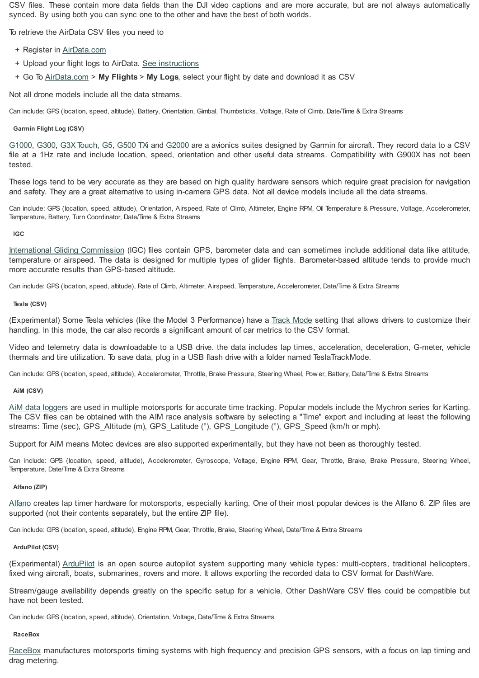CSV files. These contain more data fields than the DJI video captions and are more accurate, but are not always automatically synced. By using both you can sync one to the other and have the best of both worlds.

To retrieve the AirData CSV files you need to

- + Register in [AirData.com](https://airdata.com/)
- + Upload your flight logs to AirData. See [instructions](https://app.airdata.com/main?a=upload)
- + Go To [AirData.com](https://airdata.com/) > **My Flights** > **My Logs**, select your flight by date and download it as CSV

Not all drone models include all the data streams.

Can include: GPS (location, speed, altitude), Battery, Orientation, Gimbal, Thumbsticks, Voltage, Rate of Climb, Date/Time & Extra Streams

# **Garmin Flight Log (CSV)**

[G1000](https://buy.garmin.com/en-US/US/p/6420), [G300](https://buy.garmin.com/en-US/US/p/69324), G3X [Touch](https://buy.garmin.com/en-US/US/p/682215), [G5](https://buy.garmin.com/en-US/US/p/570665), [G500](https://www.garmin.com/en-US/p/612862) TXi and [G2000](https://www.garmin.com/en-US/p/97668) are a avionics suites designed by Garmin for aircraft. They record data to a CSV file at a 1Hz rate and include location, speed, orientation and other useful data streams. Compatibility with G900X has not been tested.

These logs tend to be very accurate as they are based on high quality hardware sensors which require great precision for navigation and safety. They are a great alternative to using in-camera GPS data. Not all device models include all the data streams.

Can include: GPS (location, speed, altitude), Orientation, Airspeed, Rate of Climb, Altimeter, Engine RPM, Oil Temperature & Pressure, Voltage, Accelerometer, Temperature, Battery, Turn Coordinator, Date/Time & Extra Streams

**IGC**

International Gliding [Commission](https://www.fai.org/commission/igc) (IGC) files contain GPS, barometer data and can sometimes include additional data like attitude, temperature or airspeed. The data is designed for multiple types of glider flights. Barometer-based altitude tends to provide much more accurate results than GPS-based altitude.

Can include: GPS (location, speed, altitude), Rate of Climb, Altimeter, Airspeed, Temperature, Accelerometer, Date/Time & Extra Streams

# **Tesla (CSV)**

(Experimental) Some Tesla vehicles (like the Model 3 Performance) have a Track [Mode](https://www.tesla.com/support/track-mode) setting that allows drivers to customize their handling. In this mode, the car also records a significant amount of car metrics to the CSV format.

Video and telemetry data is downloadable to a USB drive. the data includes lap times, acceleration, deceleration, G-meter, vehicle thermals and tire utilization. To save data, plug in a USB flash drive with a folder named TeslaTrackMode.

Can include: GPS (location, speed, altitude), Accelerometer, Throttle, Brake Pressure, Steering Wheel, Pow er, Battery, Date/Time & Extra Streams

# **AiM (CSV)**

AiM data [loggers](https://www.aim-sportline.com/) are used in multiple motorsports for accurate time tracking. Popular models include the Mychron series for Karting. The CSV files can be obtained with the AIM race analysis software by selecting a "Time" export and including at least the following streams: Time (sec), GPS\_Altitude (m), GPS\_Latitude (°), GPS\_Longitude (°), GPS\_Speed (km/h or mph).

Support for AiM means Motec devices are also supported experimentally, but they have not been as thoroughly tested.

Can include: GPS (location, speed, altitude), Accelerometer, Gyroscope, Voltage, Engine RPM, Gear, Throttle, Brake, Brake Pressure, Steering Wheel, Temperature, Date/Time & Extra Streams

# **Alfano (ZIP)**

[Alfano](https://www.alfano.com/) creates lap timer hardware for motorsports, especially karting. One of their most popular devices is the Alfano 6. ZIP files are supported (not their contents separately, but the entire ZIP file).

Can include: GPS (location, speed, altitude), Engine RPM, Gear, Throttle, Brake, Steering Wheel, Date/Time & Extra Streams

# **ArduPilot (CSV)**

(Experimental) [ArduPilot](https://ardupilot.org/) is an open source autopilot system supporting many vehicle types: multi-copters, traditional helicopters, fixed wing aircraft, boats, submarines, rovers and more. It allows exporting the recorded data to CSV format for DashWare.

Stream/gauge availability depends greatly on the specific setup for a vehicle. Other DashWare CSV files could be compatible but have not been tested.

Can include: GPS (location, speed, altitude), Orientation, Voltage, Date/Time & Extra Streams

# **RaceBox**

[RaceBox](https://www.racebox.pro/) manufactures motorsports timing systems with high frequency and precision GPS sensors, with a focus on lap timing and drag metering.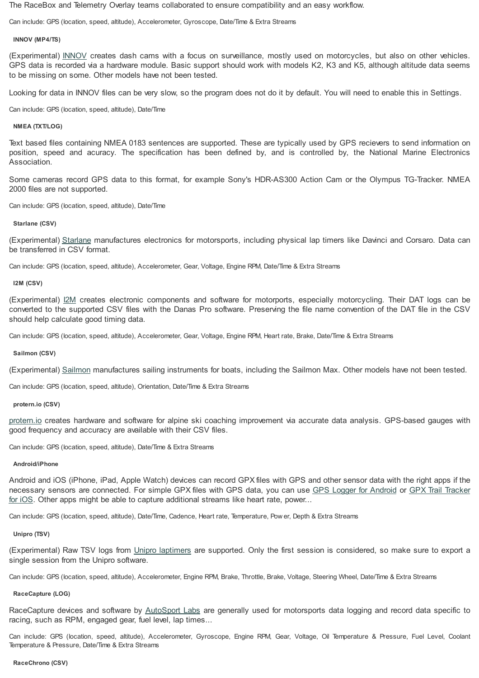The RaceBox and Telemetry Overlay teams collaborated to ensure compatibility and an easy workflow.

Can include: GPS (location, speed, altitude), Accelerometer, Gyroscope, Date/Time & Extra Streams

# **INNOV (MP4/TS)**

(Experimental) [INNOV](https://innovv.cam/) creates dash cams with a focus on surveillance, mostly used on motorcycles, but also on other vehicles. GPS data is recorded via a hardware module. Basic support should work with models K2, K3 and K5, although altitude data seems to be missing on some. Other models have not been tested.

Looking for data in INNOV files can be very slow, so the program does not do it by default. You will need to enable this in Settings.

Can include: GPS (location, speed, altitude), Date/Time

# **NMEA (TXT/LOG)**

Text based files containing NMEA 0183 sentences are supported. These are typically used by GPS recievers to send information on position, speed and acuracy. The specification has been defined by, and is controlled by, the National Marine Electronics Association.

Some cameras record GPS data to this format, for example Sony's HDR-AS300 Action Cam or the Olympus TG-Tracker. NMEA 2000 files are not supported.

Can include: GPS (location, speed, altitude), Date/Time

# **Starlane (CSV)**

(Experimental) [Starlane](http://www.starlane.com/) manufactures electronics for motorsports, including physical lap timers like Davinci and Corsaro. Data can be transferred in CSV format.

Can include: GPS (location, speed, altitude), Accelerometer, Gear, Voltage, Engine RPM, Date/Time & Extra Streams

**I2M (CSV)**

(Experimental) [I2M](https://i2m.it/) creates electronic components and software for motorports, especially motorcycling. Their DAT logs can be converted to the supported CSV files with the Danas Pro software. Preserving the file name convention of the DAT file in the CSV should help calculate good timing data.

Can include: GPS (location, speed, altitude), Accelerometer, Gear, Voltage, Engine RPM, Heart rate, Brake, Date/Time & Extra Streams

# **Sailmon (CSV)**

(Experimental) [Sailmon](https://sailmon.com/) manufactures sailing instruments for boats, including the Sailmon Max. Other models have not been tested.

Can include: GPS (location, speed, altitude), Orientation, Date/Time & Extra Streams

# **protern.io (CSV)**

[protern.io](https://protern.io/) creates hardware and software for alpine ski coaching improvement via accurate data analysis. GPS-based gauges with good frequency and accuracy are available with their CSV files.

Can include: GPS (location, speed, altitude), Date/Time & Extra Streams

# **Android/iPhone**

Android and iOS (iPhone, iPad, Apple Watch) devices can record GPX files with GPS and other sensor data with the right apps if the necessary sensors are [connected.](https://apps.apple.com/us/app/gpx-trail-tracker/id932361069) For simple GPX files with GPS data, you can use GPS Logger for [Android](https://play.google.com/store/apps/details?id=eu.basicairdata.graziano.gpslogger) or GPX Trail Tracker for iOS. Other apps might be able to capture additional streams like heart rate, power...

Can include: GPS (location, speed, altitude), Date/Time, Cadence, Heart rate, Temperature, Pow er, Depth & Extra Streams

# **Unipro (TSV)**

(Experimental) Raw TSV logs from Unipro [laptimers](https://uniprolaptimer.com/) are supported. Only the first session is considered, so make sure to export a single session from the Unipro software.

Can include: GPS (location, speed, altitude), Accelerometer, Engine RPM, Brake, Throttle, Brake, Voltage, Steering Wheel, Date/Time & Extra Streams

# **RaceCapture (LOG)**

RaceCapture devices and software by [AutoSport](https://www.autosportlabs.com/) Labs are generally used for motorsports data logging and record data specific to racing, such as RPM, engaged gear, fuel level, lap times...

Can include: GPS (location, speed, altitude), Accelerometer, Gyroscope, Engine RPM, Gear, Voltage, Oil Temperature & Pressure, Fuel Level, Coolant Temperature & Pressure, Date/Time & Extra Streams

#### **RaceChrono (CSV)**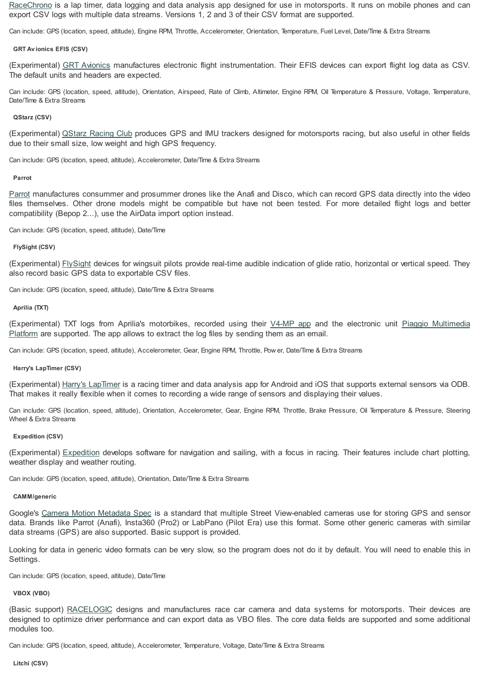[RaceChrono](https://racechrono.com/) is a lap timer, data logging and data analysis app designed for use in motorsports. It runs on mobile phones and can export CSV logs with multiple data streams. Versions 1, 2 and 3 of their CSV format are supported.

Can include: GPS (location, speed, altitude), Engine RPM, Throttle, Accelerometer, Orientation, Temperature, Fuel Level, Date/Time & Extra Streams

#### **GRT Av ionics EFIS (CSV)**

(Experimental) GRT [Avionics](https://grtavionics.com/) manufactures electronic flight instrumentation. Their EFIS devices can export flight log data as CSV. The default units and headers are expected.

Can include: GPS (location, speed, altitude), Orientation, Airspeed, Rate of Climb, Altimeter, Engine RPM, Oil Temperature & Pressure, Voltage, Temperature, Date/Time & Extra Streams

#### **QStarz (CSV)**

(Experimental) [QStarz](http://racing.qstarz.com/) Racing Club produces GPS and IMU trackers designed for motorsports racing, but also useful in other fields due to their small size, low weight and high GPS frequency.

Can include: GPS (location, speed, altitude), Accelerometer, Date/Time & Extra Streams

#### **Parrot**

[Parrot](https://www.parrot.com/) manufactures consummer and prosummer drones like the Anafi and Disco, which can record GPS data directly into the video files themselves. Other drone models might be compatible but have not been tested. For more detailed flight logs and better compatibility (Bepop 2...), use the AirData import option instead.

Can include: GPS (location, speed, altitude), Date/Time

#### **FlySight (CSV)**

(Experimental) [FlySight](http://www.flysight.ca/) devices for wingsuit pilots provide real-time audible indication of glide ratio, horizontal or vertical speed. They also record basic GPS data to exportable CSV files.

Can include: GPS (location, speed, altitude), Date/Time & Extra Streams

#### **Aprilia (TXT)**

[\(Experimental\)](https://www.piaggio.com/en_EN/accessories/vehicle-accessories/tech-scooter/piaggio-multimedia-platform-pmp-606409m/) TXT logs from Aprilia's motorbikes, recorded using their [V4-MP](https://www.aprilia.com/ca_EN/technology/V4-mp/) app and the electronic unit Piaggio Multimedia Platform are supported. The app allows to extract the log files by sending them as an email.

Can include: GPS (location, speed, altitude), Accelerometer, Gear, Engine RPM, Throttle, Pow er, Date/Time & Extra Streams

#### **Harry's LapTimer (CSV)**

(Experimental) Harry's [LapTimer](https://www.gps-laptimer.de/) is a racing timer and data analysis app for Android and iOS that supports external sensors via ODB. That makes it really flexible when it comes to recording a wide range of sensors and displaying their values.

Can include: GPS (location, speed, altitude), Orientation, Accelerometer, Gear, Engine RPM, Throttle, Brake Pressure, Oil Temperature & Pressure, Steering Wheel & Extra Streams

# **Expedition (CSV)**

(Experimental) [Expedition](https://www.expeditionmarine.com/) develops software for navigation and sailing, with a focus in racing. Their features include chart plotting, weather display and weather routing.

Can include: GPS (location, speed, altitude), Orientation, Date/Time & Extra Streams

#### **CAMM/generic**

Google's Camera Motion [Metadata](https://developers.google.com/streetview/publish/camm-spec) Spec is a standard that multiple Street View-enabled cameras use for storing GPS and sensor data. Brands like Parrot (Anafi), Insta360 (Pro2) or LabPano (Pilot Era) use this format. Some other generic cameras with similar data streams (GPS) are also supported. Basic support is provided.

Looking for data in generic video formats can be very slow, so the program does not do it by default. You will need to enable this in Settings.

Can include: GPS (location, speed, altitude), Date/Time

#### **VBOX (VBO)**

(Basic support) [RACELOGIC](https://www.vboxmotorsport.co.uk/) designs and manufactures race car camera and data systems for motorsports. Their devices are designed to optimize driver performance and can export data as VBO files. The core data fields are supported and some additional modules too.

Can include: GPS (location, speed, altitude), Accelerometer, Temperature, Voltage, Date/Time & Extra Streams

**Litchi (CSV)**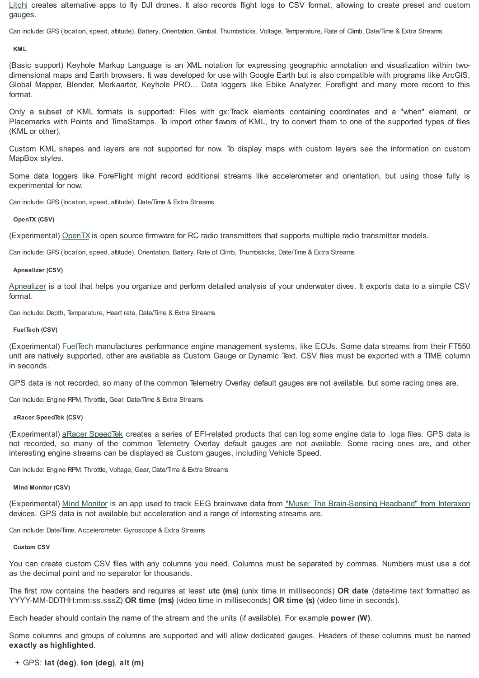[Litchi](https://flylitchi.com/) creates alternative apps to fly DJI drones. It also records flight logs to CSV format, allowing to create preset and custom gauges.

Can include: GPS (location, speed, altitude), Battery, Orientation, Gimbal, Thumbsticks, Voltage, Temperature, Rate of Climb, Date/Time & Extra Streams

#### **KML**

(Basic support) Keyhole Markup Language is an XML notation for expressing geographic annotation and visualization within twodimensional maps and Earth browsers. It was developed for use with Google Earth but is also compatible with programs like ArcGIS, Global Mapper, Blender, Merkaartor, Keyhole PRO... Data loggers like Ebike Analyzer, Foreflight and many more record to this format.

Only a subset of KML formats is supported: Files with gx:Track elements containing coordinates and a "when" element, or Placemarks with Points and TimeStamps. To import other flavors of KML, try to convert them to one of the supported types of files (KML or other).

Custom KML shapes and layers are not supported for now. To display maps with custom layers see the information on custom MapBox styles.

Some data loggers like ForeFlight might record additional streams like accelerometer and orientation, but using those fully is experimental for now.

Can include: GPS (location, speed, altitude), Date/Time & Extra Streams

### **OpenTX (CSV)**

(Experimental) [OpenTX](https://www.open-tx.org/) is open source firmware for RC radio transmitters that supports multiple radio transmitter models.

Can include: GPS (location, speed, altitude), Orientation, Battery, Rate of Climb, Thumbsticks, Date/Time & Extra Streams

### **Apnealizer (CSV)**

[Apnealizer](https://apnealizer.com/) is a tool that helps you organize and perform detailed analysis of your underwater dives. It exports data to a simple CSV format.

Can include: Depth, Temperature, Heart rate, Date/Time & Extra Streams

### **FuelTech (CSV)**

(Experimental) [FuelTech](https://www.fueltech.net/) manufactures performance engine management systems, like ECUs. Some data streams from their FT550 unit are natively supported, other are available as Custom Gauge or Dynamic Text. CSV files must be exported with a TIME column in seconds.

GPS data is not recorded, so many of the common Telemetry Overlay default gauges are not available, but some racing ones are.

Can include: Engine RPM, Throttle, Gear, Date/Time & Extra Streams

#### **aRacer SpeedTek (CSV)**

(Experimental) aRacer [SpeedTek](https://www.aracer-speedtek.com/) creates a series of EFI-related products that can log some engine data to .loga files. GPS data is not recorded, so many of the common Telemetry Overlay default gauges are not available. Some racing ones are, and other interesting engine streams can be displayed as Custom gauges, including Vehicle Speed.

Can include: Engine RPM, Throttle, Voltage, Gear, Date/Time & Extra Streams

#### **Mind Monitor (CSV)**

(Experimental) Mind [Monitor](https://mind-monitor.com/) is an app used to track EEG brainwave data from "Muse: The [Brain-Sensing](http://choosemuse.com/) Headband" from Interaxon devices. GPS data is not available but acceleration and a range of interesting streams are.

Can include: Date/Time, Accelerometer, Gyroscope & Extra Streams

#### **Custom CSV**

You can create custom CSV files with any columns you need. Columns must be separated by commas. Numbers must use a dot as the decimal point and no separator for thousands.

The first row contains the headers and requires at least **utc (ms)** (unix time in milliseconds) **OR date** (date-time text formatted as YYYY-MM-DDTHH:mm:ss.sssZ) **OR time (ms)** (video time in milliseconds) **OR time (s)** (video time in seconds).

Each header should contain the name of the stream and the units (if available). For example **power (W)**.

Some columns and groups of columns are supported and will allow dedicated gauges. Headers of these columns must be named **exactly as highlighted**.

# + GPS: **lat (deg)**, **lon (deg)**, **alt (m)**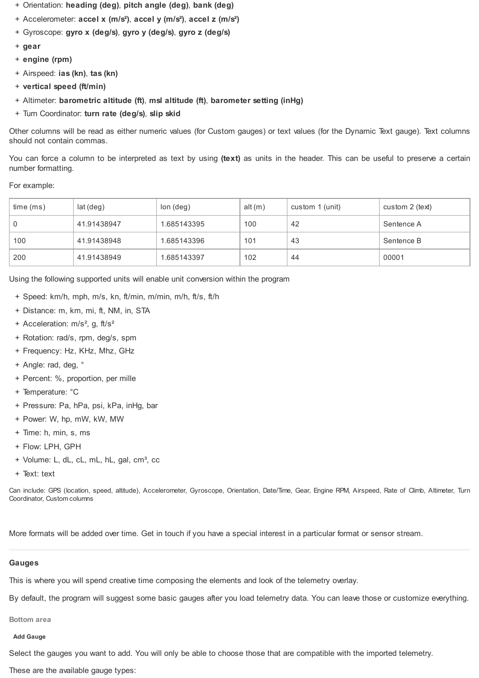- + Orientation: **heading (deg)**, **pitch angle (deg)**, **bank (deg)**
- + Accelerometer: **accel x (m/s²)**, **accel y (m/s²)**, **accel z (m/s²)**
- + Gyroscope: **gyro x (deg/s)**, **gyro y (deg/s)**, **gyro z (deg/s)**
- + **gear**
- + **engine (rpm)**
- + Airspeed: **ias (kn)**, **tas (kn)**
- + **vertical speed (ft/min)**
- + Altimeter: **barometric altitude (ft)**, **msl altitude (ft)**, **barometer setting (inHg)**
- + Turn Coordinator: **turn rate (deg/s)**, **slip skid**

Other columns will be read as either numeric values (for Custom gauges) or text values (for the Dynamic Text gauge). Text columns should not contain commas.

You can force a column to be interpreted as text by using **(text)** as units in the header. This can be useful to preserve a certain number formatting.

# For example:

| time(ms) | lat (deg)   | $lon$ (deg) | alt $(m)$ | custom 1 (unit) | custom 2 (text) |
|----------|-------------|-------------|-----------|-----------------|-----------------|
| 0        | 41.91438947 | 1.685143395 | 100       | 42              | Sentence A      |
| 100      | 41.91438948 | 1.685143396 | 101       | 43              | Sentence B      |
| 200      | 41.91438949 | 1.685143397 | 102       | -44             | 00001           |

Using the following supported units will enable unit conversion within the program

- + Speed: km/h, mph, m/s, kn, ft/min, m/min, m/h, ft/s, ft/h
- + Distance: m, km, mi, ft, NM, in, STA
- + Acceleration: m/s<sup>2</sup>, g, ft/s<sup>2</sup>
- + Rotation: rad/s, rpm, deg/s, spm
- + Frequency: Hz, KHz, Mhz, GHz
- + Angle: rad, deg, °
- + Percent: %, proportion, per mille
- + Temperature: °C
- + Pressure: Pa, hPa, psi, kPa, inHg, bar
- + Power: W, hp, mW, kW, MW
- + Time: h, min, s, ms
- + Flow: LPH, GPH
- + Volume: L, dL, cL, mL, hL, gal, cm<sup>3</sup>, cc
- + Text: text

Can include: GPS (location, speed, altitude), Accelerometer, Gyroscope, Orientation, Date/Time, Gear, Engine RPM, Airspeed, Rate of Climb, Altimeter, Turn Coordinator, Custom columns

More formats will be added over time. Get in touch if you have a special interest in a particular format or sensor stream.

# **Gauges**

This is where you will spend creative time composing the elements and look of the telemetry overlay.

By default, the program will suggest some basic gauges after you load telemetry data. You can leave those or customize everything.

**Bottom area**

# **Add Gauge**

Select the gauges you want to add. You will only be able to choose those that are compatible with the imported telemetry.

These are the available gauge types: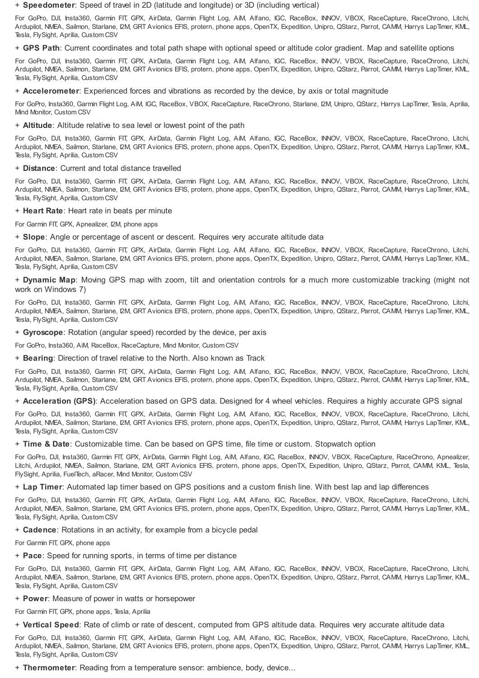+ **Speedometer**: Speed of travel in 2D (latitude and longitude) or 3D (including vertical)

For GoPro, DJI, Insta360, Garmin FIT, GPX, AirData, Garmin Flight Log, AiM, Alfano, IGC, RaceBox, INNOV, VBOX, RaceCapture, RaceChrono, Litchi, Ardupilot, NMEA, Sailmon, Starlane, I2M, GRT Avionics EFIS, protern, phone apps, OpenTX, Expedition, Unipro, QStarz, Parrot, CAMM, Harrys LapTimer, KML, Tesla, FlySight, Aprilia, Custom CSV

+ **GPS Path**: Current coordinates and total path shape with optional speed or altitude color gradient. Map and satellite options

For GoPro, DJI, Insta360, Garmin FIT, GPX, AirData, Garmin Flight Log, AiM, Alfano, IGC, RaceBox, INNOV, VBOX, RaceCapture, RaceChrono, Litchi, Ardupilot, NMEA, Sailmon, Starlane, I2M, GRT Avionics EFIS, protern, phone apps, OpenTX, Expedition, Unipro, QStarz, Parrot, CAMM, Harrys LapTimer, KML, Tesla, FlySight, Aprilia, Custom CSV

+ **Accelerometer**: Experienced forces and vibrations as recorded by the device, by axis or total magnitude

For GoPro, Insta360, Garmin Flight Log, AiM, IGC, RaceBox, VBOX, RaceCapture, RaceChrono, Starlane, I2M, Unipro, QStarz, Harrys LapTimer, Tesla, Aprilia, Mind Monitor, Custom CSV

+ **Altitude**: Altitude relative to sea level or lowest point of the path

For GoPro, DJI, Insta360, Garmin FIT, GPX, AirData, Garmin Flight Log, AiM, Alfano, IGC, RaceBox, INNOV, VBOX, RaceCapture, RaceChrono, Litchi, Ardupilot, NMEA, Sailmon, Starlane, I2M, GRT Avionics EFIS, protern, phone apps, OpenTX, Expedition, Unipro, QStarz, Parrot, CAMM, Harrys LapTimer, KML, Tesla, FlySight, Aprilia, Custom CSV

# + **Distance**: Current and total distance travelled

For GoPro, DJI, Insta360, Garmin FIT, GPX, AirData, Garmin Flight Log, AiM, Alfano, IGC, RaceBox, INNOV, VBOX, RaceCapture, RaceChrono, Litchi, Ardupilot, NMEA, Sailmon, Starlane, I2M, GRT Avionics EFIS, protern, phone apps, OpenTX, Expedition, Unipro, QStarz, Parrot, CAMM, Harrys LapTimer, KML, Tesla, FlySight, Aprilia, Custom CSV

### + **Heart Rate**: Heart rate in beats per minute

For Garmin FIT, GPX, Apnealizer, I2M, phone apps

+ **Slope**: Angle or percentage of ascent or descent. Requires very accurate altitude data

For GoPro, DJI, Insta360, Garmin FIT, GPX, AirData, Garmin Flight Log, AiM, Alfano, IGC, RaceBox, INNOV, VBOX, RaceCapture, RaceChrono, Litchi, Ardupilot, NMEA, Sailmon, Starlane, I2M, GRT Avionics EFIS, protern, phone apps, OpenTX, Expedition, Unipro, QStarz, Parrot, CAMM, Harrys LapTimer, KML, Tesla, FlySight, Aprilia, Custom CSV

+ **Dynamic Map**: Moving GPS map with zoom, tilt and orientation controls for a much more customizable tracking (might not work on Windows 7)

For GoPro, DJI, Insta360, Garmin FIT, GPX, AirData, Garmin Flight Log, AiM, Alfano, IGC, RaceBox, INNOV, VBOX, RaceCapture, RaceChrono, Litchi, Ardupilot, NMEA, Sailmon, Starlane, I2M, GRT Avionics EFIS, protern, phone apps, OpenTX, Expedition, Unipro, QStarz, Parrot, CAMM, Harrys LapTimer, KML, Tesla, FlySight, Aprilia, Custom CSV

+ **Gyroscope**: Rotation (angular speed) recorded by the device, per axis

For GoPro, Insta360, AiM, RaceBox, RaceCapture, Mind Monitor, Custom CSV

+ **Bearing**: Direction of travel relative to the North. Also known as Track

For GoPro, DJI, Insta360, Garmin FIT, GPX, AirData, Garmin Flight Log, AiM, Alfano, IGC, RaceBox, INNOV, VBOX, RaceCapture, RaceChrono, Litchi, Ardupilot, NMEA, Sailmon, Starlane, I2M, GRT Avionics EFIS, protern, phone apps, OpenTX, Expedition, Unipro, QStarz, Parrot, CAMM, Harrys LapTimer, KML, Tesla, FlySight, Aprilia, Custom CSV

+ **Acceleration (GPS)**: Acceleration based on GPS data. Designed for 4 wheel vehicles. Requires a highly accurate GPS signal

For GoPro, DJI, Insta360, Garmin FIT, GPX, AirData, Garmin Flight Log, AiM, Alfano, IGC, RaceBox, INNOV, VBOX, RaceCapture, RaceChrono, Litchi, Ardupilot, NMEA, Sailmon, Starlane, I2M, GRT Avionics EFIS, protern, phone apps, OpenTX, Expedition, Unipro, QStarz, Parrot, CAMM, Harrys LapTimer, KML, Tesla, FlySight, Aprilia, Custom CSV

+ **Time & Date**: Customizable time. Can be based on GPS time, file time or custom. Stopwatch option

For GoPro, DJI, Insta360, Garmin FIT, GPX, AirData, Garmin Flight Log, AiM, Alfano, IGC, RaceBox, INNOV, VBOX, RaceCapture, RaceChrono, Apnealizer, Litchi, Ardupilot, NMEA, Sailmon, Starlane, I2M, GRT Avionics EFIS, protern, phone apps, OpenTX, Expedition, Unipro, QStarz, Parrot, CAMM, KML, Tesla, FlySight, Aprilia, FuelTech, aRacer, Mind Monitor, Custom CSV

+ **Lap Timer**: Automated lap timer based on GPS positions and a custom finish line. With best lap and lap differences

For GoPro, DJI, Insta360, Garmin FIT, GPX, AirData, Garmin Flight Log, AiM, Alfano, IGC, RaceBox, INNOV, VBOX, RaceCapture, RaceChrono, Litchi, Ardupilot, NMEA, Sailmon, Starlane, I2M, GRT Avionics EFIS, protern, phone apps, OpenTX, Expedition, Unipro, QStarz, Parrot, CAMM, Harrys LapTimer, KML, Tesla, FlySight, Aprilia, Custom CSV

+ **Cadence**: Rotations in an activity, for example from a bicycle pedal

For Garmin FIT, GPX, phone apps

+ **Pace**: Speed for running sports, in terms of time per distance

For GoPro, DJI, Insta360, Garmin FIT, GPX, AirData, Garmin Flight Log, AiM, Alfano, IGC, RaceBox, INNOV, VBOX, RaceCapture, RaceChrono, Litchi, Ardupilot, NMEA, Sailmon, Starlane, I2M, GRT Avionics EFIS, protern, phone apps, OpenTX, Expedition, Unipro, QStarz, Parrot, CAMM, Harrys LapTimer, KML, Tesla, FlySight, Aprilia, Custom CSV

+ **Power**: Measure of power in watts or horsepower

For Garmin FIT, GPX, phone apps, Tesla, Aprilia

+ **Vertical Speed**: Rate of climb or rate of descent, computed from GPS altitude data. Requires very accurate altitude data

For GoPro, DJI, Insta360, Garmin FIT, GPX, AirData, Garmin Flight Log, AiM, Alfano, IGC, RaceBox, INNOV, VBOX, RaceCapture, RaceChrono, Litchi, Ardupilot, NMEA, Sailmon, Starlane, I2M, GRT Avionics EFIS, protern, phone apps, OpenTX, Expedition, Unipro, QStarz, Parrot, CAMM, Harrys LapTimer, KML, Tesla, FlySight, Aprilia, Custom CSV

+ **Thermometer**: Reading from a temperature sensor: ambience, body, device...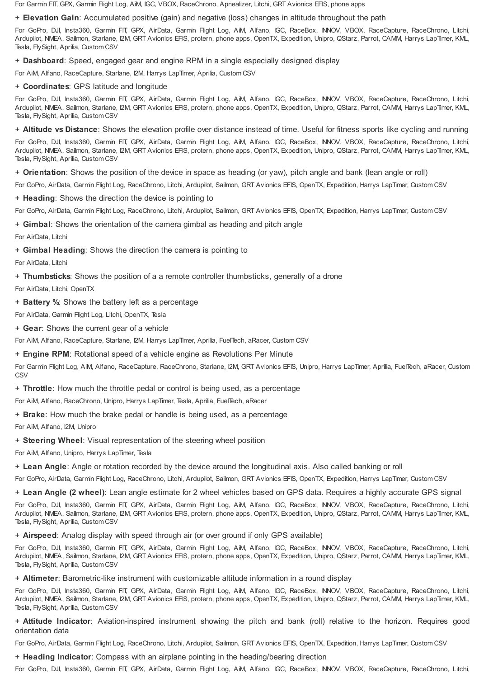For Garmin FIT, GPX, Garmin Flight Log, AiM, IGC, VBOX, RaceChrono, Apnealizer, Litchi, GRT Avionics EFIS, phone apps

+ **Elevation Gain**: Accumulated positive (gain) and negative (loss) changes in altitude throughout the path

For GoPro, DJI, Insta360, Garmin FIT, GPX, AirData, Garmin Flight Log, AiM, Alfano, IGC, RaceBox, INNOV, VBOX, RaceCapture, RaceChrono, Litchi, Ardupilot, NMEA, Sailmon, Starlane, I2M, GRT Avionics EFIS, protern, phone apps, OpenTX, Expedition, Unipro, QStarz, Parrot, CAMM, Harrys LapTimer, KML, Tesla, FlySight, Aprilia, Custom CSV

+ **Dashboard**: Speed, engaged gear and engine RPM in a single especially designed display

For AiM, Alfano, RaceCapture, Starlane, I2M, Harrys LapTimer, Aprilia, Custom CSV

+ **Coordinates**: GPS latitude and longitude

For GoPro, DJI, Insta360, Garmin FIT, GPX, AirData, Garmin Flight Log, AiM, Alfano, IGC, RaceBox, INNOV, VBOX, RaceCapture, RaceChrono, Litchi, Ardupilot, NMEA, Sailmon, Starlane, I2M, GRT Avionics EFIS, protern, phone apps, OpenTX, Expedition, Unipro, QStarz, Parrot, CAMM, Harrys LapTimer, KML, Tesla, FlySight, Aprilia, Custom CSV

+ **Altitude vs Distance**: Shows the elevation profile over distance instead of time. Useful for fitness sports like cycling and running

For GoPro, DJI, Insta360, Garmin FIT, GPX, AirData, Garmin Flight Log, AiM, Alfano, IGC, RaceBox, INNOV, VBOX, RaceCapture, RaceChrono, Litchi, Ardupilot, NMEA, Sailmon, Starlane, I2M, GRT Avionics EFIS, protern, phone apps, OpenTX, Expedition, Unipro, QStarz, Parrot, CAMM, Harrys LapTimer, KML, Tesla, FlySight, Aprilia, Custom CSV

+ **Orientation**: Shows the position of the device in space as heading (or yaw), pitch angle and bank (lean angle or roll)

For GoPro, AirData, Garmin Flight Log, RaceChrono, Litchi, Ardupilot, Sailmon, GRT Avionics EFIS, OpenTX, Expedition, Harrys LapTimer, Custom CSV

+ **Heading**: Shows the direction the device is pointing to

For GoPro, AirData, Garmin Flight Log, RaceChrono, Litchi, Ardupilot, Sailmon, GRT Avionics EFIS, OpenTX, Expedition, Harrys LapTimer, Custom CSV

+ **Gimbal**: Shows the orientation of the camera gimbal as heading and pitch angle

For AirData, Litchi

+ **Gimbal Heading**: Shows the direction the camera is pointing to

For AirData, Litchi

+ **Thumbsticks**: Shows the position of a a remote controller thumbsticks, generally of a drone

For AirData, Litchi, OpenTX

+ **Battery %**: Shows the battery left as a percentage

For AirData, Garmin Flight Log, Litchi, OpenTX, Tesla

+ **Gear**: Shows the current gear of a vehicle

For AiM, Alfano, RaceCapture, Starlane, I2M, Harrys LapTimer, Aprilia, FuelTech, aRacer, Custom CSV

+ **Engine RPM**: Rotational speed of a vehicle engine as Revolutions Per Minute

For Garmin Flight Log, AiM, Alfano, RaceCapture, RaceChrono, Starlane, I2M, GRT Avionics EFIS, Unipro, Harrys LapTimer, Aprilia, FuelTech, aRacer, Custom **CSV** 

+ **Throttle**: How much the throttle pedal or control is being used, as a percentage

For AiM, Alfano, RaceChrono, Unipro, Harrys LapTimer, Tesla, Aprilia, FuelTech, aRacer

+ **Brake**: How much the brake pedal or handle is being used, as a percentage

For AiM, Alfano, I2M, Unipro

+ **Steering Wheel**: Visual representation of the steering wheel position

For AiM, Alfano, Unipro, Harrys LapTimer, Tesla

+ **Lean Angle**: Angle or rotation recorded by the device around the longitudinal axis. Also called banking or roll

For GoPro, AirData, Garmin Flight Log, RaceChrono, Litchi, Ardupilot, Sailmon, GRT Avionics EFIS, OpenTX, Expedition, Harrys LapTimer, Custom CSV

+ **Lean Angle (2 wheel)**: Lean angle estimate for 2 wheel vehicles based on GPS data. Requires a highly accurate GPS signal

For GoPro, DJI, Insta360, Garmin FIT, GPX, AirData, Garmin Flight Log, AiM, Alfano, IGC, RaceBox, INNOV, VBOX, RaceCapture, RaceChrono, Litchi, Ardupilot, NMEA, Sailmon, Starlane, I2M, GRT Avionics EFIS, protern, phone apps, OpenTX, Expedition, Unipro, QStarz, Parrot, CAMM, Harrys LapTimer, KML, Tesla, FlySight, Aprilia, Custom CSV

+ **Airspeed**: Analog display with speed through air (or over ground if only GPS available)

For GoPro, DJI, Insta360, Garmin FIT, GPX, AirData, Garmin Flight Log, AiM, Alfano, IGC, RaceBox, INNOV, VBOX, RaceCapture, RaceChrono, Litchi, Ardupilot, NMEA, Sailmon, Starlane, I2M, GRT Avionics EFIS, protern, phone apps, OpenTX, Expedition, Unipro, QStarz, Parrot, CAMM, Harrys LapTimer, KML, Tesla, FlySight, Aprilia, Custom CSV

+ **Altimeter**: Barometric-like instrument with customizable altitude information in a round display

For GoPro, DJI, Insta360, Garmin FIT, GPX, AirData, Garmin Flight Log, AiM, Alfano, IGC, RaceBox, INNOV, VBOX, RaceCapture, RaceChrono, Litchi, Ardupilot, NMEA, Sailmon, Starlane, I2M, GRT Avionics EFIS, protern, phone apps, OpenTX, Expedition, Unipro, QStarz, Parrot, CAMM, Harrys LapTimer, KML, Tesla, FlySight, Aprilia, Custom CSV

+ **Attitude Indicator**: Aviation-inspired instrument showing the pitch and bank (roll) relative to the horizon. Requires good orientation data

For GoPro, AirData, Garmin Flight Log, RaceChrono, Litchi, Ardupilot, Sailmon, GRT Avionics EFIS, OpenTX, Expedition, Harrys LapTimer, Custom CSV

+ **Heading Indicator**: Compass with an airplane pointing in the heading/bearing direction

For GoPro, DJI, Insta360, Garmin FIT, GPX, AirData, Garmin Flight Log, AiM, Alfano, IGC, RaceBox, INNOV, VBOX, RaceCapture, RaceChrono, Litchi,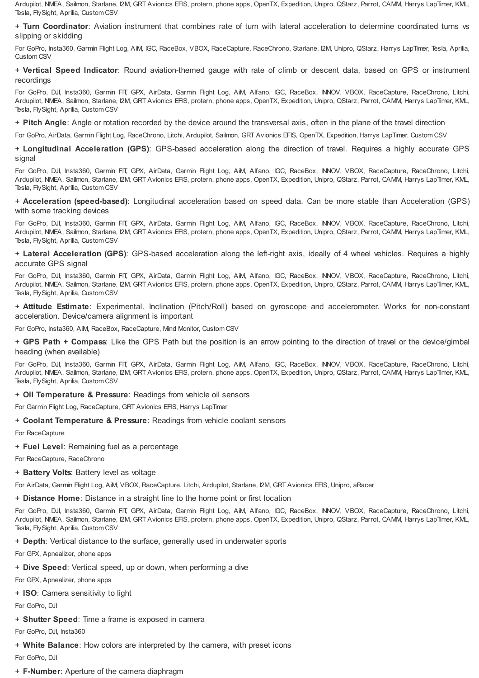Ardupilot, NMEA, Sailmon, Starlane, I2M, GRT Avionics EFIS, protern, phone apps, OpenTX, Expedition, Unipro, QStarz, Parrot, CAMM, Harrys LapTimer, KML, Tesla, FlySight, Aprilia, Custom CSV

+ **Turn Coordinator**: Aviation instrument that combines rate of turn with lateral acceleration to determine coordinated turns vs slipping or skidding

For GoPro, Insta360, Garmin Flight Log, AiM, IGC, RaceBox, VBOX, RaceCapture, RaceChrono, Starlane, I2M, Unipro, QStarz, Harrys LapTimer, Tesla, Aprilia, Custom CSV

+ **Vertical Speed Indicator**: Round aviation-themed gauge with rate of climb or descent data, based on GPS or instrument recordings

For GoPro, DJI, Insta360, Garmin FIT, GPX, AirData, Garmin Flight Log, AiM, Alfano, IGC, RaceBox, INNOV, VBOX, RaceCapture, RaceChrono, Litchi, Ardupilot, NMEA, Sailmon, Starlane, I2M, GRT Avionics EFIS, protern, phone apps, OpenTX, Expedition, Unipro, QStarz, Parrot, CAMM, Harrys LapTimer, KML, Tesla, FlySight, Aprilia, Custom CSV

+ **Pitch Angle**: Angle or rotation recorded by the device around the transversal axis, often in the plane of the travel direction

For GoPro, AirData, Garmin Flight Log, RaceChrono, Litchi, Ardupilot, Sailmon, GRT Avionics EFIS, OpenTX, Expedition, Harrys LapTimer, Custom CSV

+ **Longitudinal Acceleration (GPS)**: GPS-based acceleration along the direction of travel. Requires a highly accurate GPS signal

For GoPro, DJI, Insta360, Garmin FIT, GPX, AirData, Garmin Flight Log, AiM, Alfano, IGC, RaceBox, INNOV, VBOX, RaceCapture, RaceChrono, Litchi, Ardupilot, NMEA, Sailmon, Starlane, I2M, GRT Avionics EFIS, protern, phone apps, OpenTX, Expedition, Unipro, QStarz, Parrot, CAMM, Harrys LapTimer, KML, Tesla, FlySight, Aprilia, Custom CSV

+ **Acceleration (speed-based)**: Longitudinal acceleration based on speed data. Can be more stable than Acceleration (GPS) with some tracking devices

For GoPro, DJI, Insta360, Garmin FIT, GPX, AirData, Garmin Flight Log, AiM, Alfano, IGC, RaceBox, INNOV, VBOX, RaceCapture, RaceChrono, Litchi, Ardupilot, NMEA, Sailmon, Starlane, I2M, GRT Avionics EFIS, protern, phone apps, OpenTX, Expedition, Unipro, QStarz, Parrot, CAMM, Harrys LapTimer, KML, Tesla, FlySight, Aprilia, Custom CSV

+ **Lateral Acceleration (GPS)**: GPS-based acceleration along the left-right axis, ideally of 4 wheel vehicles. Requires a highly accurate GPS signal

For GoPro, DJI, Insta360, Garmin FIT, GPX, AirData, Garmin Flight Log, AiM, Alfano, IGC, RaceBox, INNOV, VBOX, RaceCapture, RaceChrono, Litchi, Ardupilot, NMEA, Sailmon, Starlane, I2M, GRT Avionics EFIS, protern, phone apps, OpenTX, Expedition, Unipro, QStarz, Parrot, CAMM, Harrys LapTimer, KML, Tesla, FlySight, Aprilia, Custom CSV

+ **Attitude Estimate**: Experimental. Inclination (Pitch/Roll) based on gyroscope and accelerometer. Works for non-constant acceleration. Device/camera alignment is important

For GoPro, Insta360, AiM, RaceBox, RaceCapture, Mind Monitor, Custom CSV

+ **GPS Path + Compass**: Like the GPS Path but the position is an arrow pointing to the direction of travel or the device/gimbal heading (when available)

For GoPro, DJI, Insta360, Garmin FIT, GPX, AirData, Garmin Flight Log, AiM, Alfano, IGC, RaceBox, INNOV, VBOX, RaceCapture, RaceChrono, Litchi, Ardupilot, NMEA, Sailmon, Starlane, I2M, GRT Avionics EFIS, protern, phone apps, OpenTX, Expedition, Unipro, QStarz, Parrot, CAMM, Harrys LapTimer, KML, Tesla, FlySight, Aprilia, Custom CSV

+ **Oil Temperature & Pressure**: Readings from vehicle oil sensors

For Garmin Flight Log, RaceCapture, GRT Avionics EFIS, Harrys LapTimer

+ **Coolant Temperature & Pressure**: Readings from vehicle coolant sensors

For RaceCapture

+ **Fuel Level**: Remaining fuel as a percentage

For RaceCapture, RaceChrono

+ **Battery Volts**: Battery level as voltage

For AirData, Garmin Flight Log, AiM, VBOX, RaceCapture, Litchi, Ardupilot, Starlane, I2M, GRT Avionics EFIS, Unipro, aRacer

+ **Distance Home**: Distance in a straight line to the home point or first location

For GoPro, DJI, Insta360, Garmin FIT, GPX, AirData, Garmin Flight Log, AiM, Alfano, IGC, RaceBox, INNOV, VBOX, RaceCapture, RaceChrono, Litchi, Ardupilot, NMEA, Sailmon, Starlane, I2M, GRT Avionics EFIS, protern, phone apps, OpenTX, Expedition, Unipro, QStarz, Parrot, CAMM, Harrys LapTimer, KML, Tesla, FlySight, Aprilia, Custom CSV

+ **Depth**: Vertical distance to the surface, generally used in underwater sports

For GPX, Apnealizer, phone apps

+ **Dive Speed**: Vertical speed, up or down, when performing a dive

For GPX, Apnealizer, phone apps

+ **ISO**: Camera sensitivity to light

For GoPro, DJI

+ **Shutter Speed**: Time a frame is exposed in camera

For GoPro, DJI, Insta360

+ **White Balance**: How colors are interpreted by the camera, with preset icons

For GoPro, DJI

+ **F-Number**: Aperture of the camera diaphragm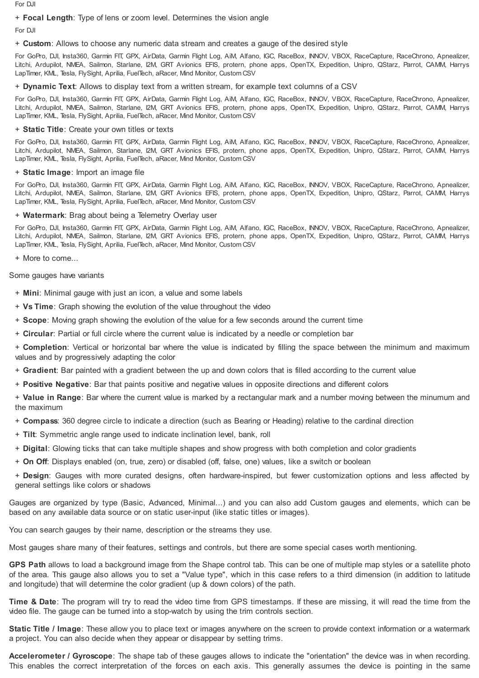For DJI

# + **Focal Length**: Type of lens or zoom level. Determines the vision angle

For DJI

+ **Custom**: Allows to choose any numeric data stream and creates a gauge of the desired style

For GoPro, DJI, Insta360, Garmin FIT, GPX, AirData, Garmin Flight Log, AiM, Alfano, IGC, RaceBox, INNOV, VBOX, RaceCapture, RaceChrono, Apnealizer, Litchi, Ardupilot, NMEA, Sailmon, Starlane, I2M, GRT Avionics EFIS, protern, phone apps, OpenTX, Expedition, Unipro, QStarz, Parrot, CAMM, Harrys LapTimer, KML, Tesla, FlySight, Aprilia, FuelTech, aRacer, Mind Monitor, Custom CSV

+ **Dynamic Text**: Allows to display text from a written stream, for example text columns of a CSV

For GoPro, DJI, Insta360, Garmin FIT, GPX, AirData, Garmin Flight Log, AiM, Alfano, IGC, RaceBox, INNOV, VBOX, RaceCapture, RaceChrono, Apnealizer, Litchi, Ardupilot, NMEA, Sailmon, Starlane, I2M, GRT Avionics EFIS, protern, phone apps, OpenTX, Expedition, Unipro, QStarz, Parrot, CAMM, Harrys LapTimer, KML, Tesla, FlySight, Aprilia, FuelTech, aRacer, Mind Monitor, Custom CSV

# + **Static Title**: Create your own titles or texts

For GoPro, DJI, Insta360, Garmin FIT, GPX, AirData, Garmin Flight Log, AiM, Alfano, IGC, RaceBox, INNOV, VBOX, RaceCapture, RaceChrono, Apnealizer, Litchi, Ardupilot, NMEA, Sailmon, Starlane, I2M, GRT Avionics EFIS, protern, phone apps, OpenTX, Expedition, Unipro, QStarz, Parrot, CAMM, Harrys LapTimer, KML, Tesla, FlySight, Aprilia, FuelTech, aRacer, Mind Monitor, Custom CSV

# + **Static Image**: Import an image file

For GoPro, DJI, Insta360, Garmin FIT, GPX, AirData, Garmin Flight Log, AiM, Alfano, IGC, RaceBox, INNOV, VBOX, RaceCapture, RaceChrono, Apnealizer, Litchi, Ardupilot, NMEA, Sailmon, Starlane, I2M, GRT Avionics EFIS, protern, phone apps, OpenTX, Expedition, Unipro, QStarz, Parrot, CAMM, Harrys LapTimer, KML, Tesla, FlySight, Aprilia, FuelTech, aRacer, Mind Monitor, Custom CSV

# + **Watermark**: Brag about being a Telemetry Overlay user

For GoPro, DJI, Insta360, Garmin FIT, GPX, AirData, Garmin Flight Log, AiM, Alfano, IGC, RaceBox, INNOV, VBOX, RaceCapture, RaceChrono, Apnealizer, Litchi, Ardupilot, NMEA, Sailmon, Starlane, I2M, GRT Avionics EFIS, protern, phone apps, OpenTX, Expedition, Unipro, QStarz, Parrot, CAMM, Harrys LapTimer, KML, Tesla, FlySight, Aprilia, FuelTech, aRacer, Mind Monitor, Custom CSV

+ More to come...

Some gauges have variants

- + **Mini**: Minimal gauge with just an icon, a value and some labels
- + **Vs Time**: Graph showing the evolution of the value throughout the video
- + **Scope**: Moving graph showing the evolution of the value for a few seconds around the current time
- + **Circular**: Partial or full circle where the current value is indicated by a needle or completion bar

+ **Completion**: Vertical or horizontal bar where the value is indicated by filling the space between the minimum and maximum values and by progressively adapting the color

- + **Gradient**: Bar painted with a gradient between the up and down colors that is filled according to the current value
- + **Positive Negative**: Bar that paints positive and negative values in opposite directions and different colors

+ **Value in Range**: Bar where the current value is marked by a rectangular mark and a number moving between the minumum and the maximum

+ **Compass**: 360 degree circle to indicate a direction (such as Bearing or Heading) relative to the cardinal direction

- + **Tilt**: Symmetric angle range used to indicate inclination level, bank, roll
- + **Digital**: Glowing ticks that can take multiple shapes and show progress with both completion and color gradients
- + **On Off**: Displays enabled (on, true, zero) or disabled (off, false, one) values, like a switch or boolean
- + **Design**: Gauges with more curated designs, often hardware-inspired, but fewer customization options and less affected by general settings like colors or shadows

Gauges are organized by type (Basic, Advanced, Minimal...) and you can also add Custom gauges and elements, which can be based on any available data source or on static user-input (like static titles or images).

You can search gauges by their name, description or the streams they use.

Most gauges share many of their features, settings and controls, but there are some special cases worth mentioning.

**GPS Path** allows to load a background image from the Shape control tab. This can be one of multiple map styles or a satellite photo of the area. This gauge also allows you to set a "Value type", which in this case refers to a third dimension (in addition to latitude and longitude) that will determine the color gradient (up & down colors) of the path.

**Time & Date**: The program will try to read the video time from GPS timestamps. If these are missing, it will read the time from the video file. The gauge can be turned into a stop-watch by using the trim controls section.

**Static Title / Image**: These allow you to place text or images anywhere on the screen to provide context information or a watermark a project. You can also decide when they appear or disappear by setting trims.

**Accelerometer / Gyroscope**: The shape tab of these gauges allows to indicate the "orientation" the device was in when recording. This enables the correct interpretation of the forces on each axis. This generally assumes the device is pointing in the same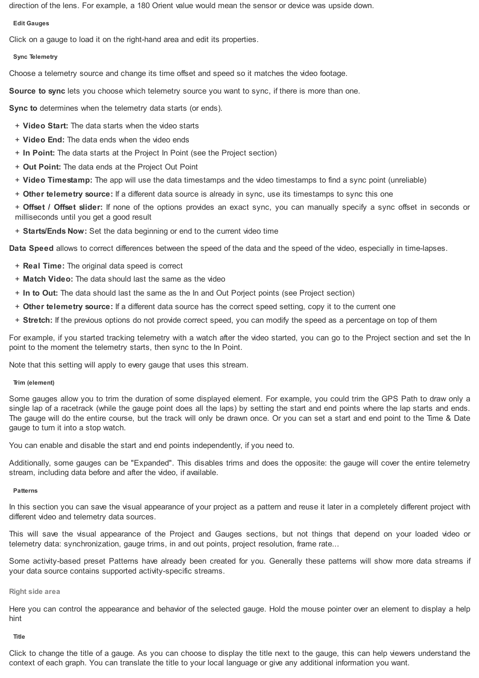direction of the lens. For example, a 180 Orient value would mean the sensor or device was upside down.

# **Edit Gauges**

Click on a gauge to load it on the right-hand area and edit its properties.

# **Sync Telemetry**

Choose a telemetry source and change its time offset and speed so it matches the video footage.

**Source to sync** lets you choose which telemetry source you want to sync, if there is more than one.

**Sync to** determines when the telemetry data starts (or ends).

- + **Video Start:** The data starts when the video starts
- + **Video End:** The data ends when the video ends
- + **In Point:** The data starts at the Project In Point (see the Project section)
- + **Out Point:** The data ends at the Project Out Point
- + **Video Timestamp:** The app will use the data timestamps and the video timestamps to find a sync point (unreliable)

+ **Other telemetry source:** If a different data source is already in sync, use its timestamps to sync this one

+ **Offset / Offset slider:** If none of the options provides an exact sync, you can manually specify a sync offset in seconds or milliseconds until you get a good result

+ **Starts/Ends Now:** Set the data beginning or end to the current video time

**Data Speed** allows to correct differences between the speed of the data and the speed of the video, especially in time-lapses.

- + **Real Time:** The original data speed is correct
- + **Match Video:** The data should last the same as the video
- + **In to Out:** The data should last the same as the In and Out Porject points (see Project section)
- + **Other telemetry source:** If a different data source has the correct speed setting, copy it to the current one
- + **Stretch:** If the previous options do not provide correct speed, you can modify the speed as a percentage on top of them

For example, if you started tracking telemetry with a watch after the video started, you can go to the Project section and set the In point to the moment the telemetry starts, then sync to the In Point.

Note that this setting will apply to every gauge that uses this stream.

# **Trim (element)**

Some gauges allow you to trim the duration of some displayed element. For example, you could trim the GPS Path to draw only a single lap of a racetrack (while the gauge point does all the laps) by setting the start and end points where the lap starts and ends. The gauge will do the entire course, but the track will only be drawn once. Or you can set a start and end point to the Time & Date gauge to turn it into a stop watch.

You can enable and disable the start and end points independently, if you need to.

Additionally, some gauges can be "Expanded". This disables trims and does the opposite: the gauge will cover the entire telemetry stream, including data before and after the video, if available.

# **Patterns**

In this section you can save the visual appearance of your project as a pattern and reuse it later in a completely different project with different video and telemetry data sources.

This will save the visual appearance of the Project and Gauges sections, but not things that depend on your loaded video or telemetry data: synchronization, gauge trims, in and out points, project resolution, frame rate...

Some activity-based preset Patterns have already been created for you. Generally these patterns will show more data streams if your data source contains supported activity-specific streams.

#### **Right side area**

Here you can control the appearance and behavior of the selected gauge. Hold the mouse pointer over an element to display a help hint

**Title**

Click to change the title of a gauge. As you can choose to display the title next to the gauge, this can help viewers understand the context of each graph. You can translate the title to your local language or give any additional information you want.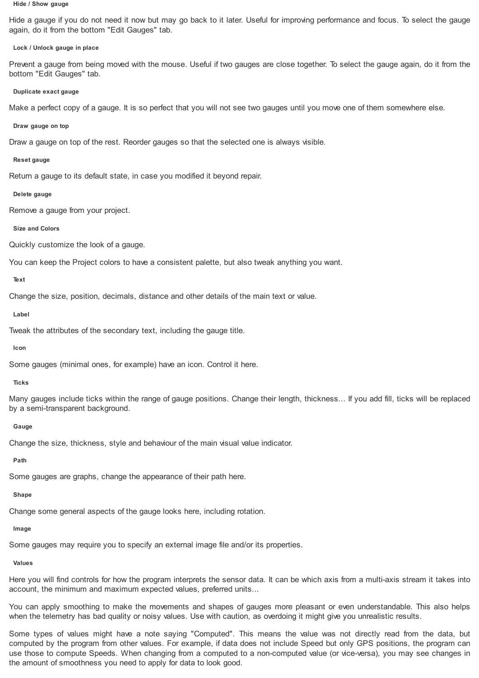#### **Hide / Show gauge**

Hide a gauge if you do not need it now but may go back to it later. Useful for improving performance and focus. To select the gauge again, do it from the bottom "Edit Gauges" tab.

# **Lock / Unlock gauge in place**

Prevent a gauge from being moved with the mouse. Useful if two gauges are close together. To select the gauge again, do it from the bottom "Edit Gauges" tab.

## **Duplicate exact gauge**

Make a perfect copy of a gauge. It is so perfect that you will not see two gauges until you move one of them somewhere else.

### **Draw gauge on top**

Draw a gauge on top of the rest. Reorder gauges so that the selected one is always visible.

## **Reset gauge**

Return a gauge to its default state, in case you modified it beyond repair.

# **Delete gauge**

Remove a gauge from your project.

# **Size and Colors**

Quickly customize the look of a gauge.

You can keep the Project colors to have a consistent palette, but also tweak anything you want.

# **Text**

Change the size, position, decimals, distance and other details of the main text or value.

**Label**

Tweak the attributes of the secondary text, including the gauge title.

# **Icon**

Some gauges (minimal ones, for example) have an icon. Control it here.

# **Ticks**

Many gauges include ticks within the range of gauge positions. Change their length, thickness... If you add fill, ticks will be replaced by a semi-transparent background.

#### **Gauge**

Change the size, thickness, style and behaviour of the main visual value indicator.

**Path**

Some gauges are graphs, change the appearance of their path here.

# **Shape**

Change some general aspects of the gauge looks here, including rotation.

# **Image**

Some gauges may require you to specify an external image file and/or its properties.

# **Values**

Here you will find controls for how the program interprets the sensor data. It can be which axis from a multi-axis stream it takes into account, the minimum and maximum expected values, preferred units...

You can apply smoothing to make the movements and shapes of gauges more pleasant or even understandable. This also helps when the telemetry has bad quality or noisy values. Use with caution, as overdoing it might give you unrealistic results.

Some types of values might have a note saying "Computed". This means the value was not directly read from the data, but computed by the program from other values. For example, if data does not include Speed but only GPS positions, the program can use those to compute Speeds. When changing from a computed to a non-computed value (or vice-versa), you may see changes in the amount of smoothness you need to apply for data to look good.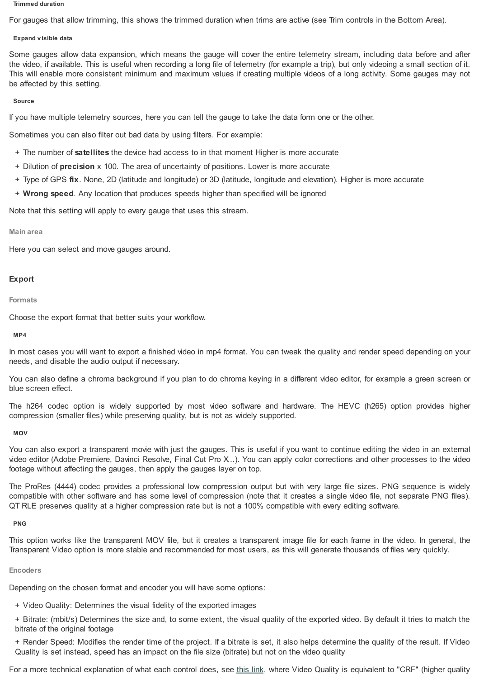#### **Trimmed duration**

For gauges that allow trimming, this shows the trimmed duration when trims are active (see Trim controls in the Bottom Area).

## **Expand v isible data**

Some gauges allow data expansion, which means the gauge will cover the entire telemetry stream, including data before and after the video, if available. This is useful when recording a long file of telemetry (for example a trip), but only videoing a small section of it. This will enable more consistent minimum and maximum values if creating multiple videos of a long activity. Some gauges may not be affected by this setting.

## **Source**

If you have multiple telemetry sources, here you can tell the gauge to take the data form one or the other.

Sometimes you can also filter out bad data by using filters. For example:

- + The number of **satellites** the device had access to in that moment Higher is more accurate
- + Dilution of **precision** x 100. The area of uncertainty of positions. Lower is more accurate
- + Type of GPS **fix**. None, 2D (latitude and longitude) or 3D (latitude, longitude and elevation). Higher is more accurate
- + **Wrong speed**. Any location that produces speeds higher than specified will be ignored

Note that this setting will apply to every gauge that uses this stream.

### **Main area**

Here you can select and move gauges around.

# **Export**

**Formats**

Choose the export format that better suits your workflow.

# **MP4**

In most cases you will want to export a finished video in mp4 format. You can tweak the quality and render speed depending on your needs, and disable the audio output if necessary.

You can also define a chroma background if you plan to do chroma keying in a different video editor, for example a green screen or blue screen effect.

The h264 codec option is widely supported by most video software and hardware. The HEVC (h265) option provides higher compression (smaller files) while preserving quality, but is not as widely supported.

#### **MOV**

You can also export a transparent movie with just the gauges. This is useful if you want to continue editing the video in an external video editor (Adobe Premiere, Davinci Resolve, Final Cut Pro X...). You can apply color corrections and other processes to the video footage without affecting the gauges, then apply the gauges layer on top.

The ProRes (4444) codec provides a professional low compression output but with very large file sizes. PNG sequence is widely compatible with other software and has some level of compression (note that it creates a single video file, not separate PNG files). QT RLE preserves quality at a higher compression rate but is not a 100% compatible with every editing software.

# **PNG**

This option works like the transparent MOV file, but it creates a transparent image file for each frame in the video. In general, the Transparent Video option is more stable and recommended for most users, as this will generate thousands of files very quickly.

# **Encoders**

Depending on the chosen format and encoder you will have some options:

- + Video Quality: Determines the visual fidelity of the exported images
- + Bitrate: (mbit/s) Determines the size and, to some extent, the visual quality of the exported video. By default it tries to match the bitrate of the original footage
- + Render Speed: Modifies the render time of the project. If a bitrate is set, it also helps determine the quality of the result. If Video Quality is set instead, speed has an impact on the file size (bitrate) but not on the video quality

For a more technical explanation of what each control does, see [this](https://trac.ffmpeg.org/wiki/Encode/H.264) link, where Video Quality is equivalent to "CRF" (higher quality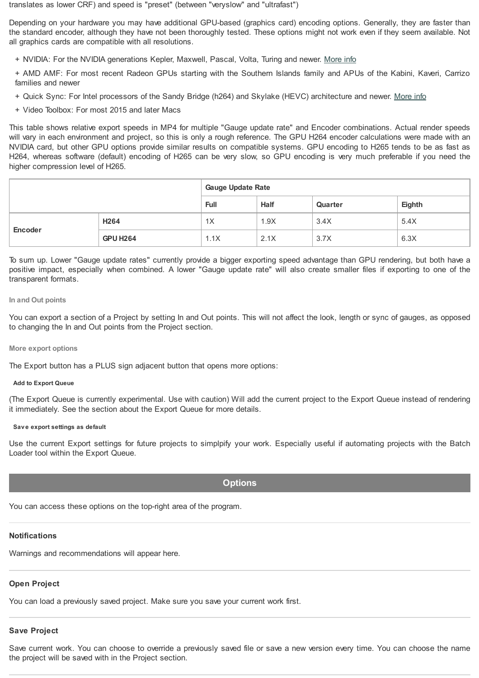translates as lower CRF) and speed is "preset" (between "veryslow" and "ultrafast")

Depending on your hardware you may have additional GPU-based (graphics card) encoding options. Generally, they are faster than the standard encoder, although they have not been thoroughly tested. These options might not work even if they seem available. Not all graphics cards are compatible with all resolutions.

+ NVIDIA: For the NVIDIA generations Kepler, Maxwell, Pascal, Volta, Turing and newer. [More](https://developer.nvidia.com/video-encode-and-decode-gpu-support-matrix-new) info

+ AMD AMF: For most recent Radeon GPUs starting with the Southern Islands family and APUs of the Kabini, Kaveri, Carrizo families and newer

- + Quick Sync: For Intel processors of the Sandy Bridge (h264) and Skylake (HEVC) architecture and newer. [More](https://en.wikipedia.org/wiki/Intel_Quick_Sync_Video) info
- + Video Toolbox: For most 2015 and later Macs

This table shows relative export speeds in MP4 for multiple "Gauge update rate" and Encoder combinations. Actual render speeds will vary in each environment and project, so this is only a rough reference. The GPU H264 encoder calculations were made with an NVIDIA card, but other GPU options provide similar results on compatible systems. GPU encoding to H265 tends to be as fast as H264, whereas software (default) encoding of H265 can be very slow, so GPU encoding is very much preferable if you need the higher compression level of H265.

|         |                  | <b>Gauge Update Rate</b> |             |         |        |  |
|---------|------------------|--------------------------|-------------|---------|--------|--|
|         |                  | <b>Full</b>              | <b>Half</b> | Quarter | Eighth |  |
|         | H <sub>264</sub> | 1X                       | 1.9X        | 3.4X    | 5.4X   |  |
| Encoder | <b>GPU H264</b>  | 1.1X                     | 2.1X        | 3.7X    | 6.3X   |  |

To sum up. Lower "Gauge update rates" currently provide a bigger exporting speed advantage than GPU rendering, but both have a positive impact, especially when combined. A lower "Gauge update rate" will also create smaller files if exporting to one of the transparent formats.

# **In and Out points**

You can export a section of a Project by setting In and Out points. This will not affect the look, length or sync of gauges, as opposed to changing the In and Out points from the Project section.

# **More export options**

The Export button has a PLUS sign adjacent button that opens more options:

# **Add to Export Queue**

(The Export Queue is currently experimental. Use with caution) Will add the current project to the Export Queue instead of rendering it immediately. See the section about the Export Queue for more details.

# **Sav e export settings as default**

Use the current Export settings for future projects to simplpify your work. Especially useful if automating projects with the Batch Loader tool within the Export Queue.

# **Options**

You can access these options on the top-right area of the program.

# **Notifications**

Warnings and recommendations will appear here.

# **Open Project**

You can load a previously saved project. Make sure you save your current work first.

# **Save Project**

Save current work. You can choose to override a previously saved file or save a new version every time. You can choose the name the project will be saved with in the Project section.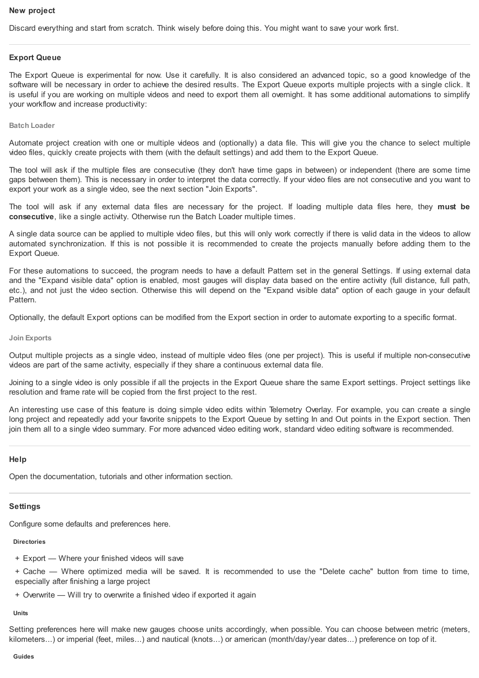# **New project**

Discard everything and start from scratch. Think wisely before doing this. You might want to save your work first.

# **Export Queue**

The Export Queue is experimental for now. Use it carefully. It is also considered an advanced topic, so a good knowledge of the software will be necessary in order to achieve the desired results. The Export Queue exports multiple projects with a single click. It is useful if you are working on multiple videos and need to export them all overnight. It has some additional automations to simplify your workflow and increase productivity:

# **Batch Loader**

Automate project creation with one or multiple videos and (optionally) a data file. This will give you the chance to select multiple video files, quickly create projects with them (with the default settings) and add them to the Export Queue.

The tool will ask if the multiple files are consecutive (they don't have time gaps in between) or independent (there are some time gaps between them). This is necessary in order to interpret the data correctly. If your video files are not consecutive and you want to export your work as a single video, see the next section "Join Exports".

The tool will ask if any external data files are necessary for the project. If loading multiple data files here, they **must be consecutive**, like a single activity. Otherwise run the Batch Loader multiple times.

A single data source can be applied to multiple video files, but this will only work correctly if there is valid data in the videos to allow automated synchronization. If this is not possible it is recommended to create the projects manually before adding them to the Export Queue.

For these automations to succeed, the program needs to have a default Pattern set in the general Settings. If using external data and the "Expand visible data" option is enabled, most gauges will display data based on the entire activity (full distance, full path, etc.), and not just the video section. Otherwise this will depend on the "Expand visible data" option of each gauge in your default Pattern.

Optionally, the default Export options can be modified from the Export section in order to automate exporting to a specific format.

## **Join Exports**

Output multiple projects as a single video, instead of multiple video files (one per project). This is useful if multiple non-consecutive videos are part of the same activity, especially if they share a continuous external data file.

Joining to a single video is only possible if all the projects in the Export Queue share the same Export settings. Project settings like resolution and frame rate will be copied from the first project to the rest.

An interesting use case of this feature is doing simple video edits within Telemetry Overlay. For example, you can create a single long project and repeatedly add your favorite snippets to the Export Queue by setting In and Out points in the Export section. Then join them all to a single video summary. For more advanced video editing work, standard video editing software is recommended.

# **Help**

Open the documentation, tutorials and other information section.

# **Settings**

Configure some defaults and preferences here.

#### **Directories**

- + Export Where your finished videos will save
- + Cache Where optimized media will be saved. It is recommended to use the "Delete cache" button from time to time, especially after finishing a large project
- + Overwrite Will try to overwrite a finished video if exported it again

# **Units**

Setting preferences here will make new gauges choose units accordingly, when possible. You can choose between metric (meters, kilometers...) or imperial (feet, miles...) and nautical (knots...) or american (month/day/year dates...) preference on top of it.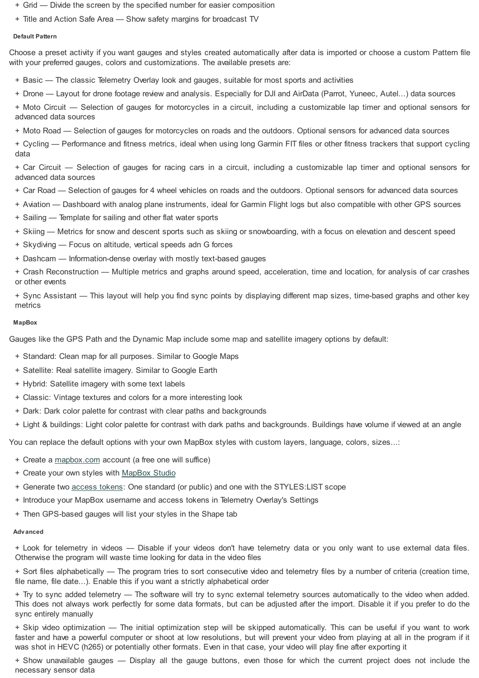- + Grid Divide the screen by the specified number for easier composition
- + Title and Action Safe Area Show safety margins for broadcast TV

# **Default Pattern**

Choose a preset activity if you want gauges and styles created automatically after data is imported or choose a custom Pattern file with your preferred gauges, colors and customizations. The available presets are:

- + Basic The classic Telemetry Overlay look and gauges, suitable for most sports and activities
- + Drone Layout for drone footage review and analysis. Especially for DJI and AirData (Parrot, Yuneec, Autel...) data sources

+ Moto Circuit — Selection of gauges for motorcycles in a circuit, including a customizable lap timer and optional sensors for advanced data sources

+ Moto Road — Selection of gauges for motorcycles on roads and the outdoors. Optional sensors for advanced data sources

+ Cycling — Performance and fitness metrics, ideal when using long Garmin FIT files or other fitness trackers that support cycling data

+ Car Circuit — Selection of gauges for racing cars in a circuit, including a customizable lap timer and optional sensors for advanced data sources

- + Car Road Selection of gauges for 4 wheel vehicles on roads and the outdoors. Optional sensors for advanced data sources
- + Aviation Dashboard with analog plane instruments, ideal for Garmin Flight logs but also compatible with other GPS sources
- + Sailing Template for sailing and other flat water sports
- + Skiing Metrics for snow and descent sports such as skiing or snowboarding, with a focus on elevation and descent speed
- + Skydiving Focus on altitude, vertical speeds adn G forces
- + Dashcam Information-dense overlay with mostly text-based gauges

+ Crash Reconstruction — Multiple metrics and graphs around speed, acceleration, time and location, for analysis of car crashes or other events

+ Sync Assistant — This layout will help you find sync points by displaying different map sizes, time-based graphs and other key metrics

# **MapBox**

Gauges like the GPS Path and the Dynamic Map include some map and satellite imagery options by default:

- + Standard: Clean map for all purposes. Similar to Google Maps
- + Satellite: Real satellite imagery. Similar to Google Earth
- + Hybrid: Satellite imagery with some text labels
- + Classic: Vintage textures and colors for a more interesting look
- + Dark: Dark color palette for contrast with clear paths and backgrounds
- + Light & buildings: Light color palette for contrast with dark paths and backgrounds. Buildings have volume if viewed at an angle

You can replace the default options with your own MapBox styles with custom layers, language, colors, sizes...:

- + Create a [mapbox.com](https://www.mapbox.com/) account (a free one will suffice)
- + Create your own styles with [MapBox](https://docs.mapbox.com/studio-manual/guides/) Studio
- + Generate two [access](https://account.mapbox.com/access-tokens/) tokens: One standard (or public) and one with the STYLES:LIST scope
- + Introduce your MapBox username and access tokens in Telemetry Overlay's Settings
- + Then GPS-based gauges will list your styles in the Shape tab

### **Adv anced**

+ Look for telemetry in videos — Disable if your videos don't have telemetry data or you only want to use external data files. Otherwise the program will waste time looking for data in the video files

+ Sort files alphabetically — The program tries to sort consecutive video and telemetry files by a number of criteria (creation time, file name, file date...). Enable this if you want a strictly alphabetical order

+ Try to sync added telemetry — The software will try to sync external telemetry sources automatically to the video when added. This does not always work perfectly for some data formats, but can be adjusted after the import. Disable it if you prefer to do the sync entirely manually

+ Skip video optimization — The initial optimization step will be skipped automatically. This can be useful if you want to work faster and have a powerful computer or shoot at low resolutions, but will prevent your video from playing at all in the program if it was shot in HEVC (h265) or potentially other formats. Even in that case, your video will play fine after exporting it

+ Show unavailable gauges — Display all the gauge buttons, even those for which the current project does not include the necessary sensor data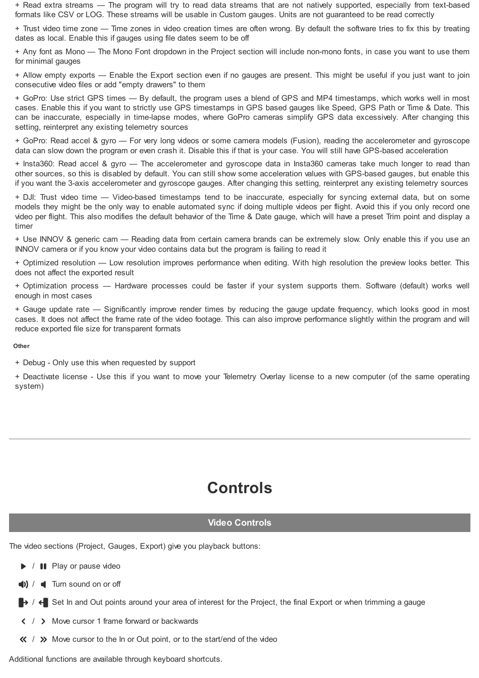+ Read extra streams — The program will try to read data streams that are not natively supported, especially from text-based formats like CSV or LOG. These streams will be usable in Custom gauges. Units are not guaranteed to be read correctly

+ Trust video time zone — Time zones in video creation times are often wrong. By default the software tries to fix this by treating dates as local. Enable this if gauges using file dates seem to be off

+ Any font as Mono — The Mono Font dropdown in the Project section will include non-mono fonts, in case you want to use them for minimal gauges

+ Allow empty exports — Enable the Export section even if no gauges are present. This might be useful if you just want to join consecutive video files or add "empty drawers" to them

+ GoPro: Use strict GPS times — By default, the program uses a blend of GPS and MP4 timestamps, which works well in most cases. Enable this if you want to strictly use GPS timestamps in GPS based gauges like Speed, GPS Path or Time & Date. This can be inaccurate, especially in time-lapse modes, where GoPro cameras simplify GPS data excessively. After changing this setting, reinterpret any existing telemetry sources

+ GoPro: Read accel & gyro — For very long videos or some camera models (Fusion), reading the accelerometer and gyroscope data can slow down the program or even crash it. Disable this if that is your case. You will still have GPS-based acceleration

+ Insta360: Read accel & gyro — The accelerometer and gyroscope data in Insta360 cameras take much longer to read than other sources, so this is disabled by default. You can still show some acceleration values with GPS-based gauges, but enable this if you want the 3-axis accelerometer and gyroscope gauges. After changing this setting, reinterpret any existing telemetry sources

+ DJI: Trust video time — Video-based timestamps tend to be inaccurate, especially for syncing external data, but on some models they might be the only way to enable automated sync if doing multiple videos per flight. Avoid this if you only record one video per flight. This also modifies the default behavior of the Time & Date gauge, which will have a preset Trim point and display a timer

+ Use INNOV & generic cam — Reading data from certain camera brands can be extremely slow. Only enable this if you use an INNOV camera or if you know your video contains data but the program is failing to read it

+ Optimized resolution — Low resolution improves performance when editing. With high resolution the preview looks better. This does not affect the exported result

+ Optimization process — Hardware processes could be faster if your system supports them. Software (default) works well enough in most cases

+ Gauge update rate — Significantly improve render times by reducing the gauge update frequency, which looks good in most cases. It does not affect the frame rate of the video footage. This can also improve performance slightly within the program and will reduce exported file size for transparent formats

# **Other**

+ Debug - Only use this when requested by support

+ Deactivate license - Use this if you want to move your Telemetry Overlay license to a new computer (of the same operating system)

# **Controls**

# **Video Controls**

The video sections (Project, Gauges, Export) give you playback buttons:

 $\blacktriangleright$  /  $\blacksquare$  Play or pause video

 $\left| \right|$  /  $\left| \right|$  Turn sound on or off

 $\rightarrow$  /  $\leftarrow$  Set In and Out points around your area of interest for the Project, the final Export or when trimming a gauge

 $\langle$  /  $\rangle$  Move cursor 1 frame forward or backwards

 $\langle \langle \rangle$  /  $\rangle$  Move cursor to the In or Out point, or to the start/end of the video

Additional functions are available through keyboard shortcuts.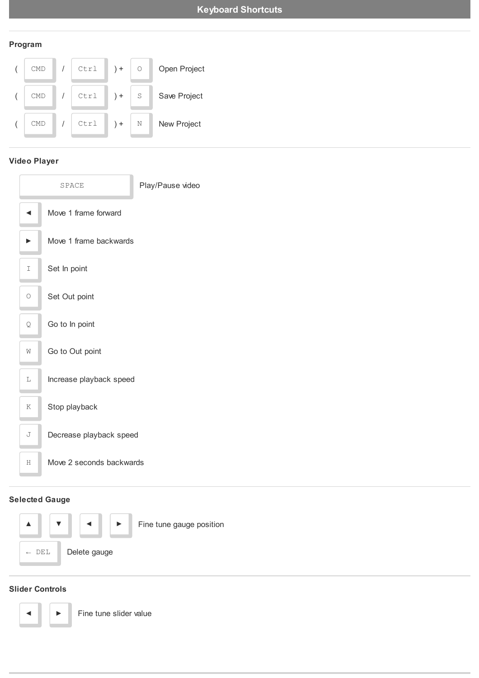# **Program**



# **Video Player**

| SPACE   |                          | Play/Pause video |  |  |  |
|---------|--------------------------|------------------|--|--|--|
|         | Move 1 frame forward     |                  |  |  |  |
|         | Move 1 frame backwards   |                  |  |  |  |
| I       | Set In point             |                  |  |  |  |
| $\circ$ | Set Out point            |                  |  |  |  |
| Q       | Go to In point           |                  |  |  |  |
| Ŵ       | Go to Out point          |                  |  |  |  |
| L       | Increase playback speed  |                  |  |  |  |
| K       | Stop playback            |                  |  |  |  |
| J       | Decrease playback speed  |                  |  |  |  |
| H       | Move 2 seconds backwards |                  |  |  |  |
|         |                          |                  |  |  |  |

# **Selected Gauge**



# **Slider Controls**

Fine tune slider value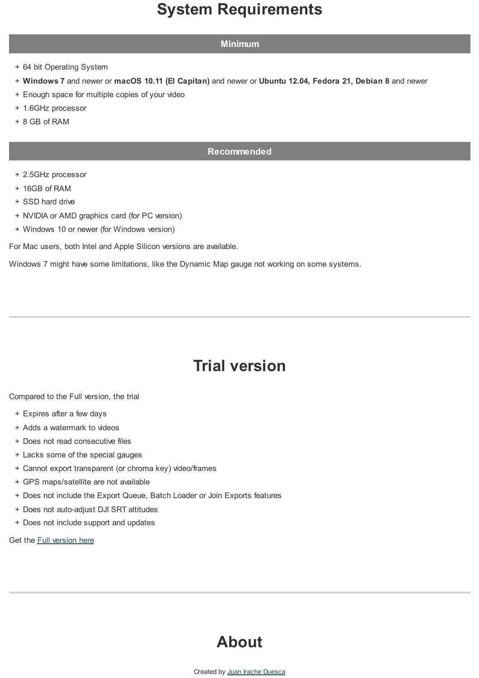# **System Requirements**

# **Minimum**

- + 64 bit Operating System
- + **Windows 7** and newer or **macOS 10.11 (El Capitan)** and newer or **Ubuntu 12.04, Fedora 21, Debian 8** and newer
- + Enough space for multiple copies of your video
- + 1.6GHz processor
- + 8 GB of RAM

# **Recommended**

- + 2.5GHz processor
- + 16GB of RAM
- + SSD hard drive
- + NVIDIA or AMD graphics card (for PC version)
- + Windows 10 or newer (for Windows version)

For Mac users, both Intel and Apple Silicon versions are available.

Windows 7 might have some limitations, like the Dynamic Map gauge not working on some systems.

# **Trial version**

Compared to the Full version, the trial

- + Expires after a few days
- + Adds a watermark to videos
- + Does not read consecutive files
- + Lacks some of the special gauges
- + Cannot export transparent (or chroma key) video/frames
- + GPS maps/satellite are not available
- + Does not include the Export Queue, Batch Loader or Join Exports features
- + Does not auto-adjust DJI SRT altitudes
- + Does not include support and updates

Get the **Full [version](https://goprotelemetryextractor.com/telemetry-overlay-gps-video-sensors) here** 

# **About**